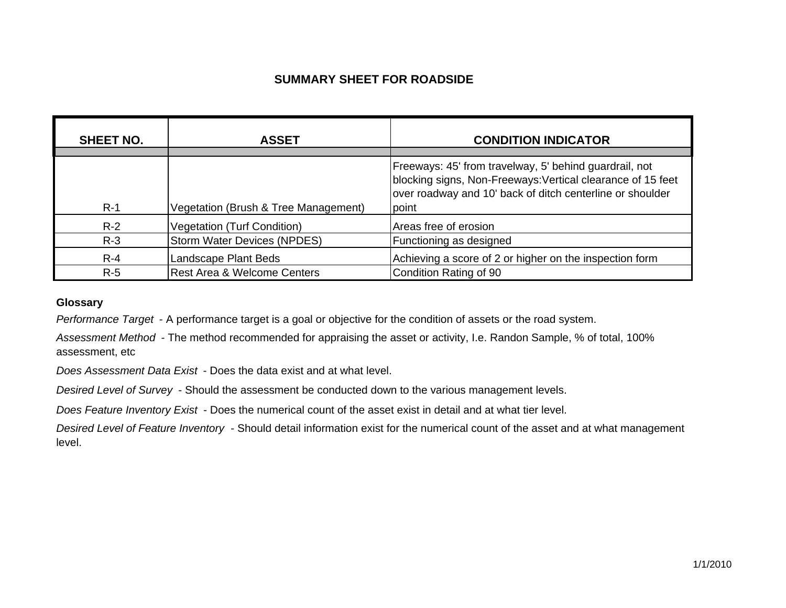### **SUMMARY SHEET FOR ROADSIDE**

| <b>SHEET NO.</b> | <b>ASSET</b>                           | <b>CONDITION INDICATOR</b>                                                                                                                                                                  |
|------------------|----------------------------------------|---------------------------------------------------------------------------------------------------------------------------------------------------------------------------------------------|
| $R-1$            | Vegetation (Brush & Tree Management)   | Freeways: 45' from travelway, 5' behind guardrail, not<br>blocking signs, Non-Freeways: Vertical clearance of 15 feet<br>over roadway and 10' back of ditch centerline or shoulder<br>point |
| $R-2$            | <b>Vegetation (Turf Condition)</b>     | Areas free of erosion                                                                                                                                                                       |
| $R-3$            | <b>Storm Water Devices (NPDES)</b>     | Functioning as designed                                                                                                                                                                     |
| $R - 4$          | Landscape Plant Beds                   | Achieving a score of 2 or higher on the inspection form                                                                                                                                     |
| $R-5$            | <b>Rest Area &amp; Welcome Centers</b> | Condition Rating of 90                                                                                                                                                                      |

#### **Glossary**

*Performance Target* - A performance target is a goal or objective for the condition of assets or the road system.

*Assessment Method* - The method recommended for appraising the asset or activity, I.e. Randon Sample, % of total, 100% assessment, etc

*Does Assessment Data Exist* - Does the data exist and at what level.

*Desired Level of Survey* - Should the assessment be conducted down to the various management levels.

*Does Feature Inventory Exist* - Does the numerical count of the asset exist in detail and at what tier level.

*Desired Level of Feature Inventory* - Should detail information exist for the numerical count of the asset and at what management level.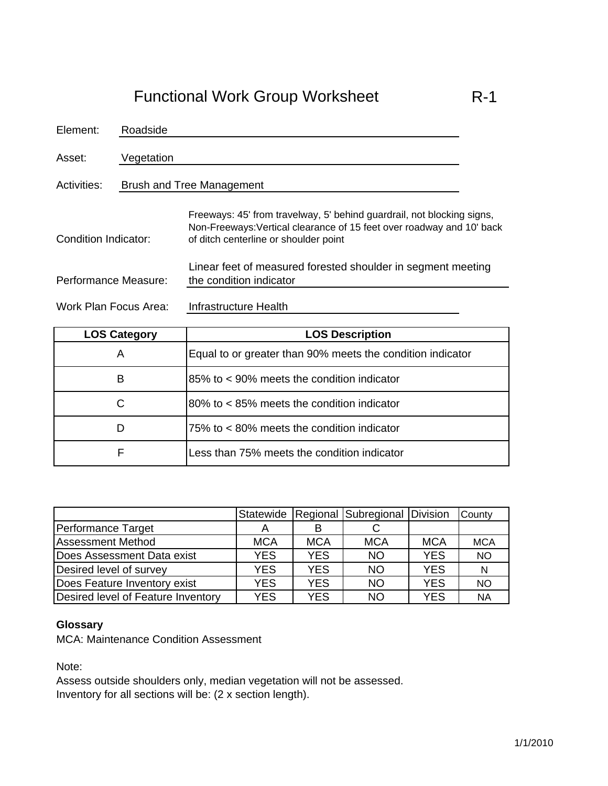| Element:              | Roadside                         |                                                                                                                                                                                          |  |
|-----------------------|----------------------------------|------------------------------------------------------------------------------------------------------------------------------------------------------------------------------------------|--|
| Asset:                | Vegetation                       |                                                                                                                                                                                          |  |
| Activities:           | <b>Brush and Tree Management</b> |                                                                                                                                                                                          |  |
| Condition Indicator:  |                                  | Freeways: 45' from travelway, 5' behind guardrail, not blocking signs,<br>Non-Freeways: Vertical clearance of 15 feet over roadway and 10' back<br>of ditch centerline or shoulder point |  |
| Performance Measure:  |                                  | Linear feet of measured forested shoulder in segment meeting<br>the condition indicator                                                                                                  |  |
| Work Plan Focus Area: |                                  | Infrastructure Health                                                                                                                                                                    |  |

| <b>LOS Category</b> | <b>LOS Description</b>                                     |
|---------------------|------------------------------------------------------------|
| A                   | Equal to or greater than 90% meets the condition indicator |
| B                   | 85% to < 90% meets the condition indicator                 |
| C                   | $80\%$ to $\lt 85\%$ meets the condition indicator         |
| D                   | 75% to < 80% meets the condition indicator                 |
|                     | Less than 75% meets the condition indicator                |

|                                    |            |            | Statewide   Regional   Subregional   Division |            | County     |
|------------------------------------|------------|------------|-----------------------------------------------|------------|------------|
| Performance Target                 | А          |            |                                               |            |            |
| <b>Assessment Method</b>           | <b>MCA</b> | <b>MCA</b> | <b>MCA</b>                                    | <b>MCA</b> | <b>MCA</b> |
| Does Assessment Data exist         | <b>YES</b> | <b>YES</b> | <b>NO</b>                                     | <b>YES</b> | <b>NO</b>  |
| Desired level of survey            | <b>YES</b> | <b>YES</b> | <b>NO</b>                                     | <b>YES</b> | N          |
| Does Feature Inventory exist       | <b>YES</b> | <b>YES</b> | <b>NO</b>                                     | <b>YES</b> | <b>NO</b>  |
| Desired level of Feature Inventory | YES        | <b>YES</b> | <b>NO</b>                                     | <b>YES</b> | <b>NA</b>  |

## **Glossary**

MCA: Maintenance Condition Assessment

Note:

Assess outside shoulders only, median vegetation will not be assessed. Inventory for all sections will be: (2 x section length).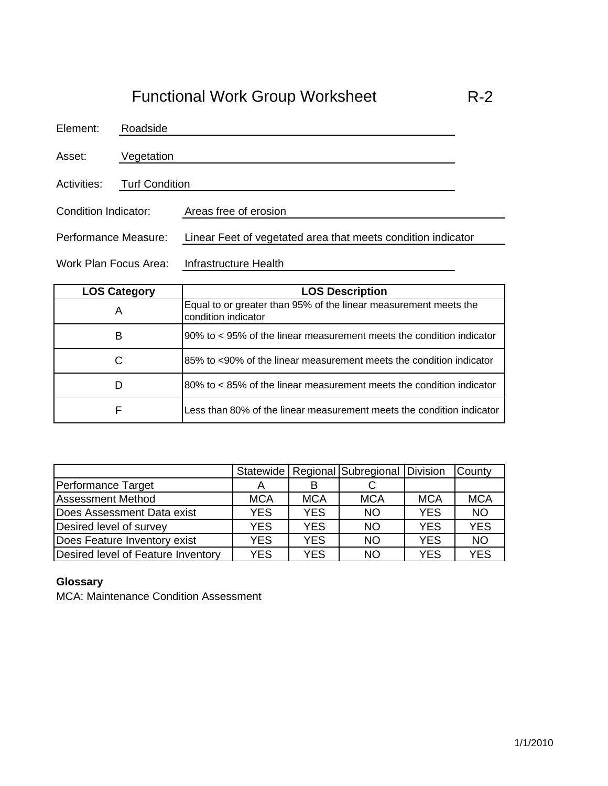| Element:              | Roadside              |                                                              |  |
|-----------------------|-----------------------|--------------------------------------------------------------|--|
| Asset:                | Vegetation            |                                                              |  |
| Activities:           | <b>Turf Condition</b> |                                                              |  |
| Condition Indicator:  |                       | Areas free of erosion                                        |  |
| Performance Measure:  |                       | Linear Feet of vegetated area that meets condition indicator |  |
| Work Plan Focus Area: |                       | Infrastructure Health                                        |  |

| <b>LOS Category</b> | <b>LOS Description</b>                                                                  |
|---------------------|-----------------------------------------------------------------------------------------|
| A                   | Equal to or greater than 95% of the linear measurement meets the<br>condition indicator |
| в                   | 90% to < 95% of the linear measurement meets the condition indicator                    |
| С                   | 85% to <90% of the linear measurement meets the condition indicator                     |
| D                   | 80% to < 85% of the linear measurement meets the condition indicator                    |
| F                   | Less than 80% of the linear measurement meets the condition indicator                   |

|                                    |            |            | Statewide   Regional   Subregional   Division |            | County     |
|------------------------------------|------------|------------|-----------------------------------------------|------------|------------|
| Performance Target                 | A          |            |                                               |            |            |
| <b>Assessment Method</b>           | <b>MCA</b> | <b>MCA</b> | <b>MCA</b>                                    | <b>MCA</b> | <b>MCA</b> |
| Does Assessment Data exist         | <b>YES</b> | <b>YES</b> | <b>NO</b>                                     | <b>YES</b> | <b>NO</b>  |
| Desired level of survey            | <b>YES</b> | <b>YES</b> | <b>NO</b>                                     | <b>YES</b> | <b>YES</b> |
| Does Feature Inventory exist       | <b>YES</b> | <b>YES</b> | <b>NO</b>                                     | <b>YES</b> | <b>NO</b>  |
| Desired level of Feature Inventory | <b>YES</b> | <b>YES</b> | <b>NO</b>                                     | <b>YES</b> | <b>YES</b> |

#### **Glossary**

MCA: Maintenance Condition Assessment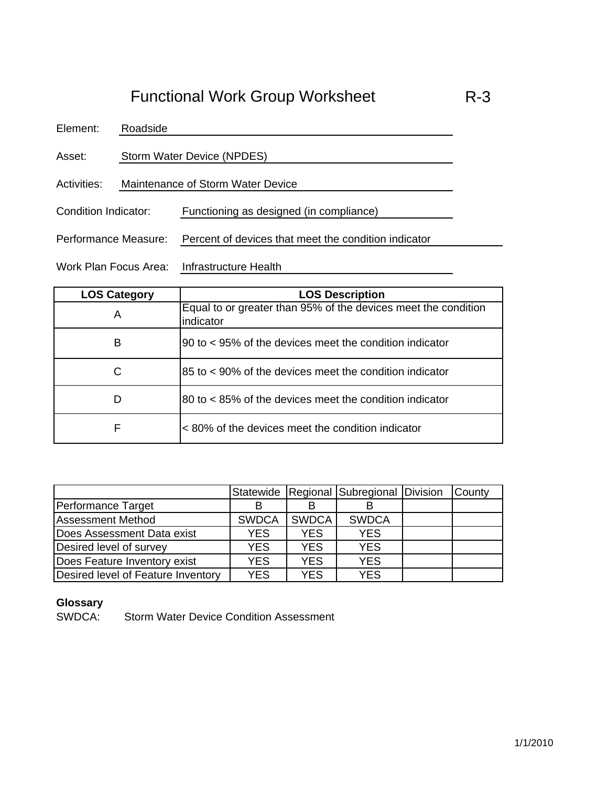Asset: Storm Water Device (NPDES)

Roadside

Element:

Activities: Maintenance of Storm Water Device

Condition Indicator: Functioning as designed (in compliance)

Performance Measure: Percent of devices that meet the condition indicator

Work Plan Focus Area: Infrastructure Health

| <b>LOS Category</b> | <b>LOS Description</b>                                                      |
|---------------------|-----------------------------------------------------------------------------|
| A                   | Equal to or greater than 95% of the devices meet the condition<br>indicator |
| В                   | 90 to < 95% of the devices meet the condition indicator                     |
| C                   | 85 to < 90% of the devices meet the condition indicator                     |
| D                   | 80 to <85% of the devices meet the condition indicator                      |
| F                   | <80% of the devices meet the condition indicator                            |

|                                    |              |              | Statewide Regional Subregional Division | County |
|------------------------------------|--------------|--------------|-----------------------------------------|--------|
| Performance Target                 |              |              |                                         |        |
| <b>Assessment Method</b>           | <b>SWDCA</b> | <b>SWDCA</b> | <b>SWDCA</b>                            |        |
| Does Assessment Data exist         | <b>YES</b>   | <b>YES</b>   | <b>YES</b>                              |        |
| Desired level of survey            | <b>YES</b>   | <b>YES</b>   | <b>YES</b>                              |        |
| Does Feature Inventory exist       | YES          | <b>YES</b>   | <b>YES</b>                              |        |
| Desired level of Feature Inventory | <b>YES</b>   | <b>YES</b>   | <b>YES</b>                              |        |

#### **Glossary**

SWDCA: Storm Water Device Condition Assessment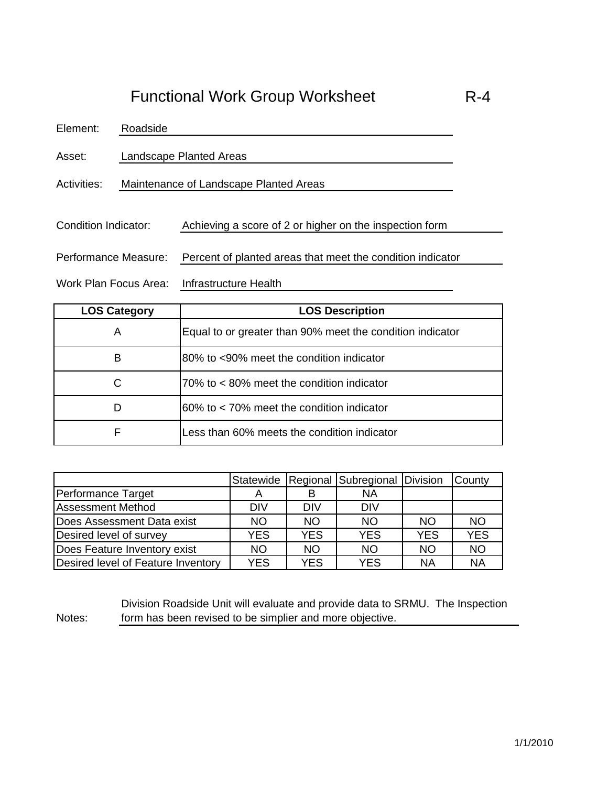Element: Roadside

Asset: Landscape Planted Areas

Activities: Maintenance of Landscape Planted Areas

Condition Indicator: Achieving a score of 2 or higher on the inspection form

Performance Measure: Percent of planted areas that meet the condition indicator

Work Plan Focus Area: Infrastructure Health

| <b>LOS Category</b> | <b>LOS Description</b>                                    |
|---------------------|-----------------------------------------------------------|
| A                   | Equal to or greater than 90% meet the condition indicator |
| В                   | 80% to <90% meet the condition indicator                  |
| С                   | 70% to < 80% meet the condition indicator                 |
| D                   | 60% to < 70% meet the condition indicator                 |
| F                   | Less than 60% meets the condition indicator               |

|                                    |            |            | Statewide   Regional   Subregional   Division |            | County     |
|------------------------------------|------------|------------|-----------------------------------------------|------------|------------|
| Performance Target                 |            |            | <b>NA</b>                                     |            |            |
| <b>Assessment Method</b>           | <b>DIV</b> | <b>DIV</b> | <b>DIV</b>                                    |            |            |
| Does Assessment Data exist         | <b>NO</b>  | <b>NO</b>  | <b>NO</b>                                     | <b>NO</b>  | <b>NO</b>  |
| Desired level of survey            | <b>YES</b> | <b>YES</b> | <b>YES</b>                                    | <b>YES</b> | <b>YES</b> |
| Does Feature Inventory exist       | <b>NO</b>  | <b>NO</b>  | <b>NO</b>                                     | <b>NO</b>  | <b>NO</b>  |
| Desired level of Feature Inventory | <b>YES</b> | <b>YES</b> | <b>YES</b>                                    | <b>NA</b>  | <b>NA</b>  |

Notes:

Division Roadside Unit will evaluate and provide data to SRMU. The Inspection form has been revised to be simplier and more objective.